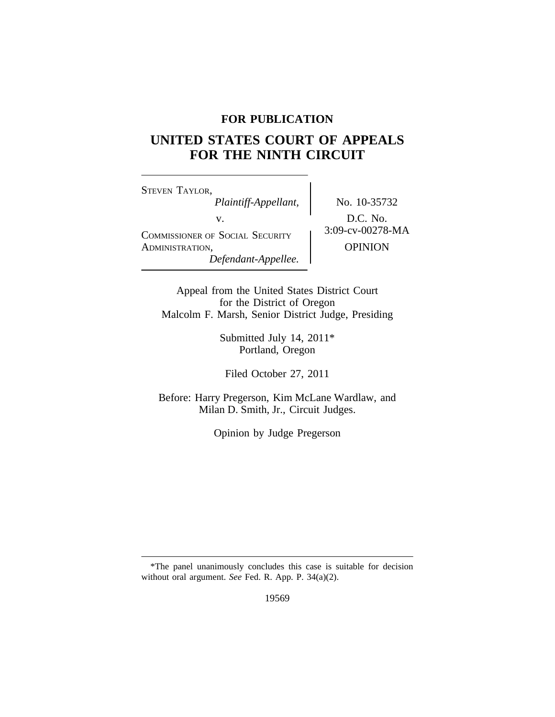# **FOR PUBLICATION**

# **UNITED STATES COURT OF APPEALS FOR THE NINTH CIRCUIT**

<sup>S</sup>TEVEN TAYLOR, *Plaintiff-Appellant,* No. 10-35732 v.<br>
COMMISSIONER OF SOCIAL SECURITY 3:09-cv-00278-MA ADMINISTRATION, OPINION *Defendant-Appellee.*

Appeal from the United States District Court for the District of Oregon Malcolm F. Marsh, Senior District Judge, Presiding

> Submitted July 14, 2011\* Portland, Oregon

Filed October 27, 2011

Before: Harry Pregerson, Kim McLane Wardlaw, and Milan D. Smith, Jr., Circuit Judges.

Opinion by Judge Pregerson

19569

<sup>\*</sup>The panel unanimously concludes this case is suitable for decision without oral argument. *See* Fed. R. App. P. 34(a)(2).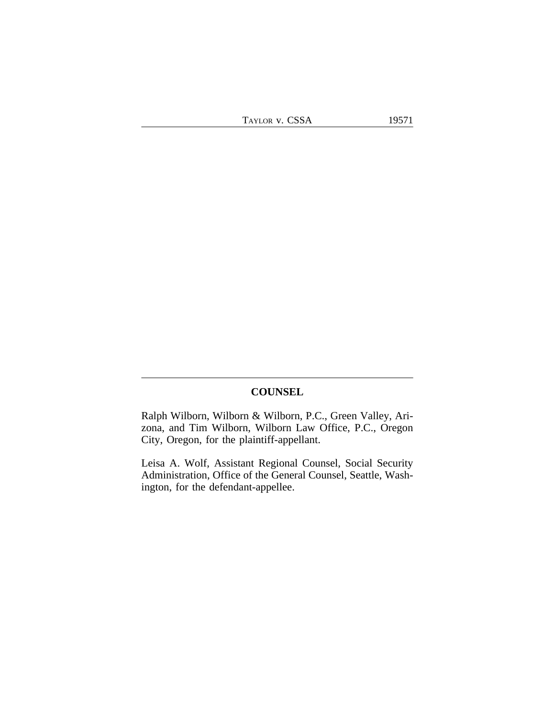## **COUNSEL**

Ralph Wilborn, Wilborn & Wilborn, P.C., Green Valley, Arizona, and Tim Wilborn, Wilborn Law Office, P.C., Oregon City, Oregon, for the plaintiff-appellant.

Leisa A. Wolf, Assistant Regional Counsel, Social Security Administration, Office of the General Counsel, Seattle, Washington, for the defendant-appellee.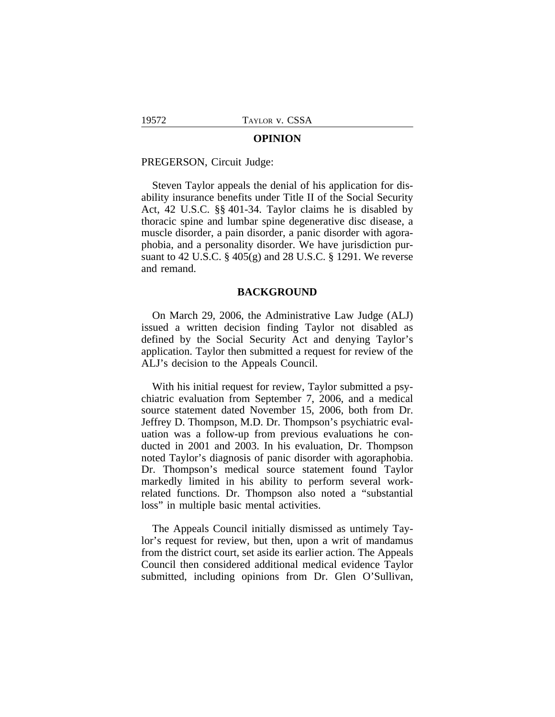#### **OPINION**

PREGERSON, Circuit Judge:

Steven Taylor appeals the denial of his application for disability insurance benefits under Title II of the Social Security Act, 42 U.S.C. §§ 401-34. Taylor claims he is disabled by thoracic spine and lumbar spine degenerative disc disease, a muscle disorder, a pain disorder, a panic disorder with agoraphobia, and a personality disorder. We have jurisdiction pursuant to 42 U.S.C. § 405(g) and 28 U.S.C. § 1291. We reverse and remand.

#### **BACKGROUND**

On March 29, 2006, the Administrative Law Judge (ALJ) issued a written decision finding Taylor not disabled as defined by the Social Security Act and denying Taylor's application. Taylor then submitted a request for review of the ALJ's decision to the Appeals Council.

With his initial request for review, Taylor submitted a psychiatric evaluation from September 7, 2006, and a medical source statement dated November 15, 2006, both from Dr. Jeffrey D. Thompson, M.D. Dr. Thompson's psychiatric evaluation was a follow-up from previous evaluations he conducted in 2001 and 2003. In his evaluation, Dr. Thompson noted Taylor's diagnosis of panic disorder with agoraphobia. Dr. Thompson's medical source statement found Taylor markedly limited in his ability to perform several workrelated functions. Dr. Thompson also noted a "substantial loss" in multiple basic mental activities.

The Appeals Council initially dismissed as untimely Taylor's request for review, but then, upon a writ of mandamus from the district court, set aside its earlier action. The Appeals Council then considered additional medical evidence Taylor submitted, including opinions from Dr. Glen O'Sullivan,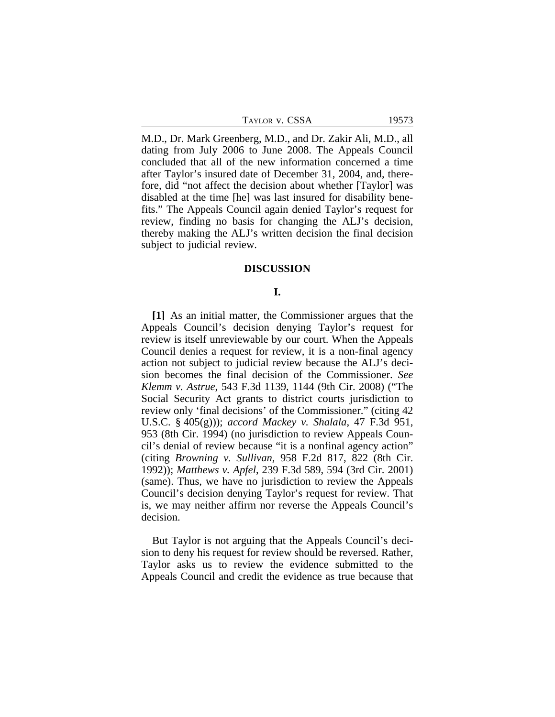| TAYLOR V. CSSA | 19573 |
|----------------|-------|
|----------------|-------|

M.D., Dr. Mark Greenberg, M.D., and Dr. Zakir Ali, M.D., all dating from July 2006 to June 2008. The Appeals Council concluded that all of the new information concerned a time after Taylor's insured date of December 31, 2004, and, therefore, did "not affect the decision about whether [Taylor] was disabled at the time [he] was last insured for disability benefits." The Appeals Council again denied Taylor's request for review, finding no basis for changing the ALJ's decision, thereby making the ALJ's written decision the final decision subject to judicial review.

### **DISCUSSION**

#### **I.**

**[1]** As an initial matter, the Commissioner argues that the Appeals Council's decision denying Taylor's request for review is itself unreviewable by our court. When the Appeals Council denies a request for review, it is a non-final agency action not subject to judicial review because the ALJ's decision becomes the final decision of the Commissioner. *See Klemm v. Astrue*, 543 F.3d 1139, 1144 (9th Cir. 2008) ("The Social Security Act grants to district courts jurisdiction to review only 'final decisions' of the Commissioner." (citing 42 U.S.C. § 405(g))); *accord Mackey v. Shalala*, 47 F.3d 951, 953 (8th Cir. 1994) (no jurisdiction to review Appeals Council's denial of review because "it is a nonfinal agency action" (citing *Browning v. Sullivan*, 958 F.2d 817, 822 (8th Cir. 1992)); *Matthews v. Apfel*, 239 F.3d 589, 594 (3rd Cir. 2001) (same). Thus, we have no jurisdiction to review the Appeals Council's decision denying Taylor's request for review. That is, we may neither affirm nor reverse the Appeals Council's decision.

But Taylor is not arguing that the Appeals Council's decision to deny his request for review should be reversed. Rather, Taylor asks us to review the evidence submitted to the Appeals Council and credit the evidence as true because that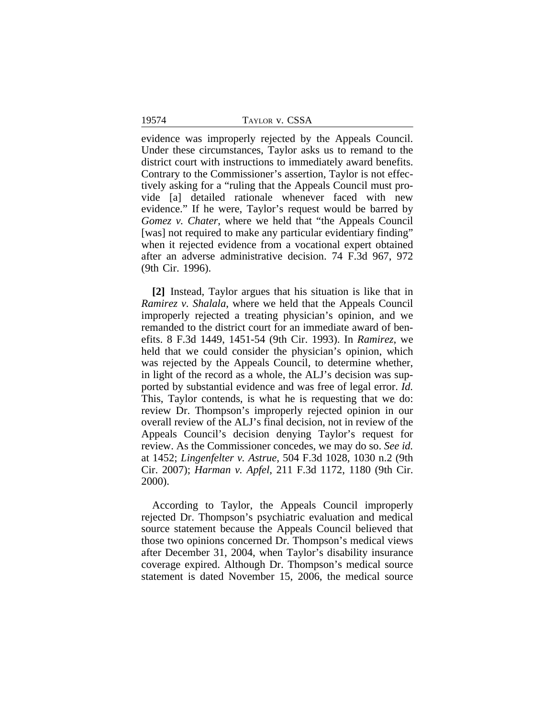19574 TAYLOR v. CSSA

evidence was improperly rejected by the Appeals Council. Under these circumstances, Taylor asks us to remand to the district court with instructions to immediately award benefits. Contrary to the Commissioner's assertion, Taylor is not effectively asking for a "ruling that the Appeals Council must provide [a] detailed rationale whenever faced with new evidence." If he were, Taylor's request would be barred by *Gomez v. Chater*, where we held that "the Appeals Council [was] not required to make any particular evidentiary finding" when it rejected evidence from a vocational expert obtained after an adverse administrative decision. 74 F.3d 967, 972 (9th Cir. 1996).

**[2]** Instead, Taylor argues that his situation is like that in *Ramirez v. Shalala*, where we held that the Appeals Council improperly rejected a treating physician's opinion, and we remanded to the district court for an immediate award of benefits. 8 F.3d 1449, 1451-54 (9th Cir. 1993). In *Ramirez*, we held that we could consider the physician's opinion, which was rejected by the Appeals Council, to determine whether, in light of the record as a whole, the ALJ's decision was supported by substantial evidence and was free of legal error. *Id.* This, Taylor contends, is what he is requesting that we do: review Dr. Thompson's improperly rejected opinion in our overall review of the ALJ's final decision, not in review of the Appeals Council's decision denying Taylor's request for review. As the Commissioner concedes, we may do so. *See id.* at 1452; *Lingenfelter v. Astrue*, 504 F.3d 1028, 1030 n.2 (9th Cir. 2007); *Harman v. Apfel*, 211 F.3d 1172, 1180 (9th Cir. 2000).

According to Taylor, the Appeals Council improperly rejected Dr. Thompson's psychiatric evaluation and medical source statement because the Appeals Council believed that those two opinions concerned Dr. Thompson's medical views after December 31, 2004, when Taylor's disability insurance coverage expired. Although Dr. Thompson's medical source statement is dated November 15, 2006, the medical source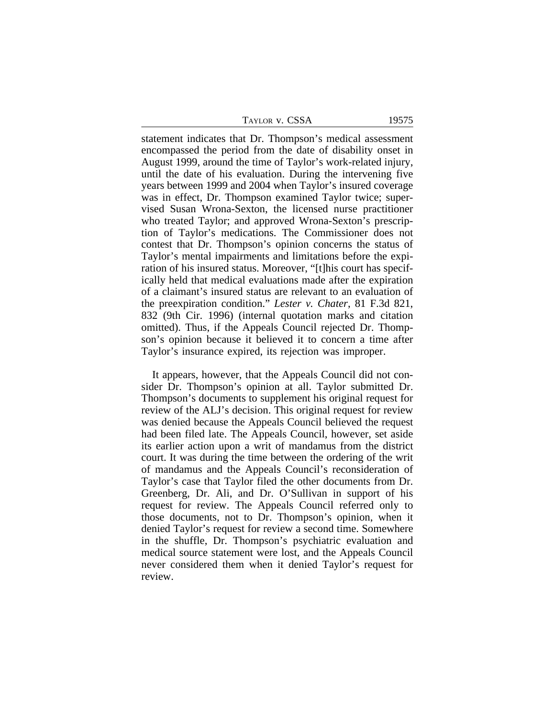| Faylor v. CSSA |  |  |
|----------------|--|--|
|                |  |  |

statement indicates that Dr. Thompson's medical assessment encompassed the period from the date of disability onset in August 1999, around the time of Taylor's work-related injury, until the date of his evaluation. During the intervening five years between 1999 and 2004 when Taylor's insured coverage was in effect, Dr. Thompson examined Taylor twice; supervised Susan Wrona-Sexton, the licensed nurse practitioner who treated Taylor; and approved Wrona-Sexton's prescription of Taylor's medications. The Commissioner does not contest that Dr. Thompson's opinion concerns the status of Taylor's mental impairments and limitations before the expiration of his insured status. Moreover, "[t]his court has specifically held that medical evaluations made after the expiration of a claimant's insured status are relevant to an evaluation of the preexpiration condition." *Lester v. Chater*, 81 F.3d 821, 832 (9th Cir. 1996) (internal quotation marks and citation omitted). Thus, if the Appeals Council rejected Dr. Thompson's opinion because it believed it to concern a time after Taylor's insurance expired, its rejection was improper.

It appears, however, that the Appeals Council did not consider Dr. Thompson's opinion at all. Taylor submitted Dr. Thompson's documents to supplement his original request for review of the ALJ's decision. This original request for review was denied because the Appeals Council believed the request had been filed late. The Appeals Council, however, set aside its earlier action upon a writ of mandamus from the district court. It was during the time between the ordering of the writ of mandamus and the Appeals Council's reconsideration of Taylor's case that Taylor filed the other documents from Dr. Greenberg, Dr. Ali, and Dr. O'Sullivan in support of his request for review. The Appeals Council referred only to those documents, not to Dr. Thompson's opinion, when it denied Taylor's request for review a second time. Somewhere in the shuffle, Dr. Thompson's psychiatric evaluation and medical source statement were lost, and the Appeals Council never considered them when it denied Taylor's request for review.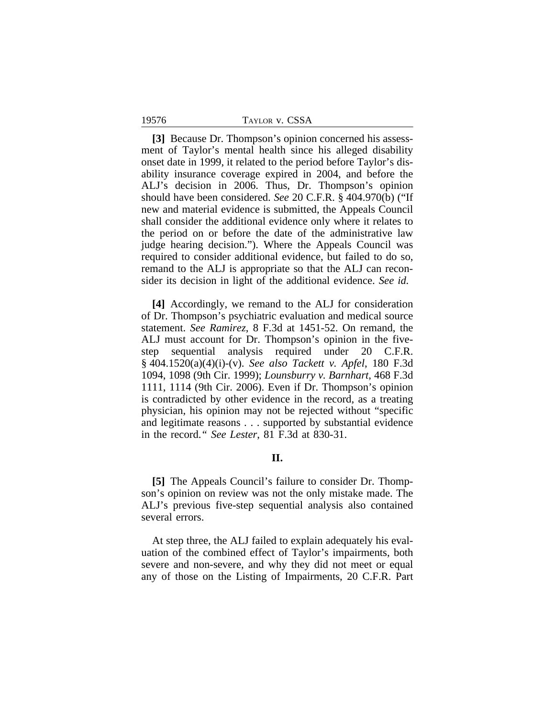**[3]** Because Dr. Thompson's opinion concerned his assessment of Taylor's mental health since his alleged disability onset date in 1999, it related to the period before Taylor's disability insurance coverage expired in 2004, and before the ALJ's decision in 2006. Thus, Dr. Thompson's opinion should have been considered. *See* 20 C.F.R. § 404.970(b) ("If new and material evidence is submitted, the Appeals Council shall consider the additional evidence only where it relates to the period on or before the date of the administrative law judge hearing decision."). Where the Appeals Council was required to consider additional evidence, but failed to do so, remand to the ALJ is appropriate so that the ALJ can reconsider its decision in light of the additional evidence. *See id.*

**[4]** Accordingly, we remand to the ALJ for consideration of Dr. Thompson's psychiatric evaluation and medical source statement. *See Ramirez*, 8 F.3d at 1451-52. On remand, the ALJ must account for Dr. Thompson's opinion in the fivestep sequential analysis required under 20 C.F.R. § 404.1520(a)(4)(i)-(v). *See also Tackett v. Apfel*, 180 F.3d 1094, 1098 (9th Cir. 1999); *Lounsburry v. Barnhart*, 468 F.3d 1111, 1114 (9th Cir. 2006). Even if Dr. Thompson's opinion is contradicted by other evidence in the record, as a treating physician, his opinion may not be rejected without "specific and legitimate reasons . . . supported by substantial evidence in the record.*" See Lester*, 81 F.3d at 830-31.

# **II.**

**[5]** The Appeals Council's failure to consider Dr. Thompson's opinion on review was not the only mistake made. The ALJ's previous five-step sequential analysis also contained several errors.

At step three, the ALJ failed to explain adequately his evaluation of the combined effect of Taylor's impairments, both severe and non-severe, and why they did not meet or equal any of those on the Listing of Impairments, 20 C.F.R. Part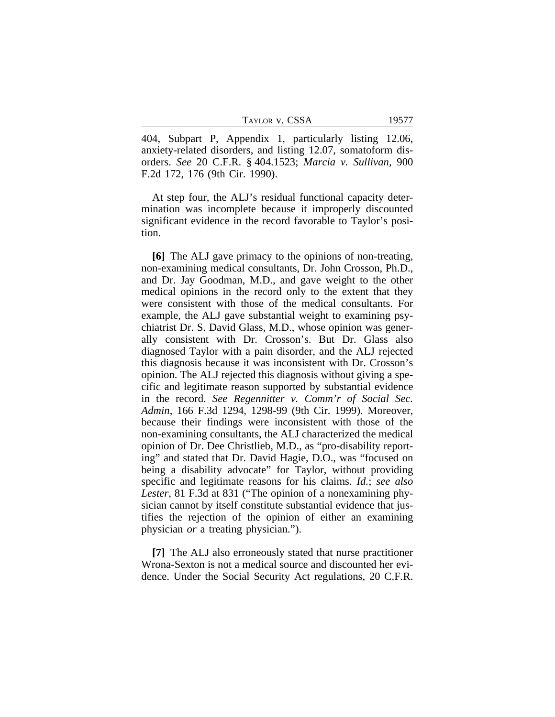TAYLOR V. CSSA 19577

404, Subpart P, Appendix 1, particularly listing 12.06, anxiety-related disorders, and listing 12.07, somatoform disorders. *See* 20 C.F.R. § 404.1523; *Marcia v. Sullivan*, 900 F.2d 172, 176 (9th Cir. 1990).

At step four, the ALJ's residual functional capacity determination was incomplete because it improperly discounted significant evidence in the record favorable to Taylor's position.

**[6]** The ALJ gave primacy to the opinions of non-treating, non-examining medical consultants, Dr. John Crosson, Ph.D., and Dr. Jay Goodman, M.D., and gave weight to the other medical opinions in the record only to the extent that they were consistent with those of the medical consultants. For example, the ALJ gave substantial weight to examining psychiatrist Dr. S. David Glass, M.D., whose opinion was generally consistent with Dr. Crosson's. But Dr. Glass also diagnosed Taylor with a pain disorder, and the ALJ rejected this diagnosis because it was inconsistent with Dr. Crosson's opinion. The ALJ rejected this diagnosis without giving a specific and legitimate reason supported by substantial evidence in the record. *See Regennitter v. Comm'r of Social Sec. Admin*, 166 F.3d 1294, 1298-99 (9th Cir. 1999). Moreover, because their findings were inconsistent with those of the non-examining consultants, the ALJ characterized the medical opinion of Dr. Dee Christlieb, M.D., as "pro-disability reporting" and stated that Dr. David Hagie, D.O., was "focused on being a disability advocate" for Taylor, without providing specific and legitimate reasons for his claims. *Id.*; *see also Lester*, 81 F.3d at 831 ("The opinion of a nonexamining physician cannot by itself constitute substantial evidence that justifies the rejection of the opinion of either an examining physician *or* a treating physician.").

**[7]** The ALJ also erroneously stated that nurse practitioner Wrona-Sexton is not a medical source and discounted her evidence. Under the Social Security Act regulations, 20 C.F.R.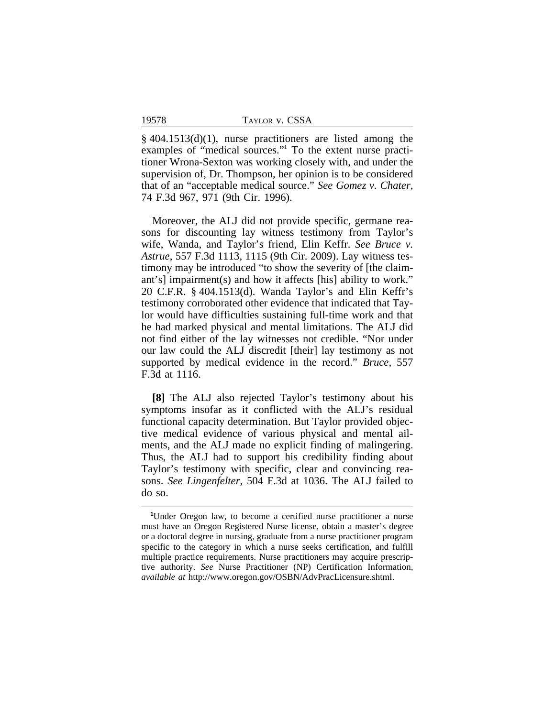§ 404.1513(d)(1), nurse practitioners are listed among the examples of "medical sources."<sup>1</sup> To the extent nurse practitioner Wrona-Sexton was working closely with, and under the supervision of, Dr. Thompson, her opinion is to be considered that of an "acceptable medical source." *See Gomez v. Chater*, 74 F.3d 967, 971 (9th Cir. 1996).

Moreover, the ALJ did not provide specific, germane reasons for discounting lay witness testimony from Taylor's wife, Wanda, and Taylor's friend, Elin Keffr. *See Bruce v. Astrue*, 557 F.3d 1113, 1115 (9th Cir. 2009). Lay witness testimony may be introduced "to show the severity of [the claimant's] impairment(s) and how it affects [his] ability to work." 20 C.F.R. § 404.1513(d). Wanda Taylor's and Elin Keffr's testimony corroborated other evidence that indicated that Taylor would have difficulties sustaining full-time work and that he had marked physical and mental limitations. The ALJ did not find either of the lay witnesses not credible. "Nor under our law could the ALJ discredit [their] lay testimony as not supported by medical evidence in the record." *Bruce*, 557 F.3d at 1116.

**[8]** The ALJ also rejected Taylor's testimony about his symptoms insofar as it conflicted with the ALJ's residual functional capacity determination. But Taylor provided objective medical evidence of various physical and mental ailments, and the ALJ made no explicit finding of malingering. Thus, the ALJ had to support his credibility finding about Taylor's testimony with specific, clear and convincing reasons. *See Lingenfelter*, 504 F.3d at 1036. The ALJ failed to do so.

<sup>&</sup>lt;sup>1</sup>Under Oregon law, to become a certified nurse practitioner a nurse must have an Oregon Registered Nurse license, obtain a master's degree or a doctoral degree in nursing, graduate from a nurse practitioner program specific to the category in which a nurse seeks certification, and fulfill multiple practice requirements. Nurse practitioners may acquire prescriptive authority. *See* Nurse Practitioner (NP) Certification Information, *available at* http://www.oregon.gov/OSBN/AdvPracLicensure.shtml.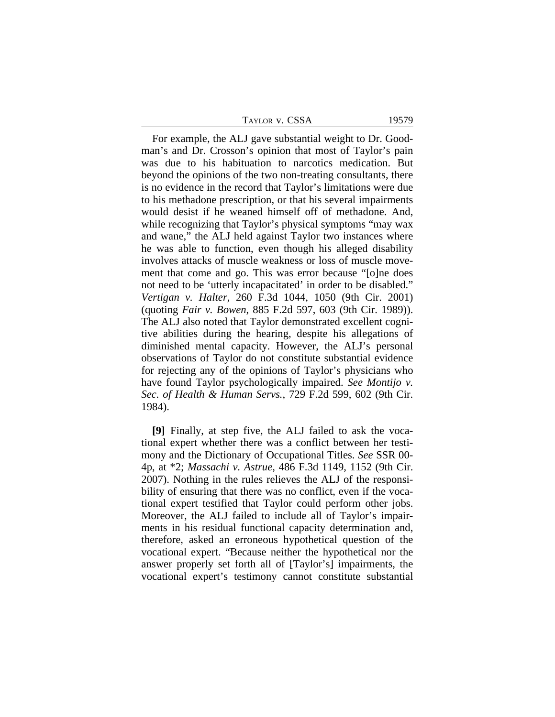For example, the ALJ gave substantial weight to Dr. Goodman's and Dr. Crosson's opinion that most of Taylor's pain was due to his habituation to narcotics medication. But beyond the opinions of the two non-treating consultants, there is no evidence in the record that Taylor's limitations were due to his methadone prescription, or that his several impairments would desist if he weaned himself off of methadone. And, while recognizing that Taylor's physical symptoms "may wax" and wane," the ALJ held against Taylor two instances where he was able to function, even though his alleged disability involves attacks of muscle weakness or loss of muscle movement that come and go. This was error because "[o]ne does not need to be 'utterly incapacitated' in order to be disabled." *Vertigan v. Halter*, 260 F.3d 1044, 1050 (9th Cir. 2001) (quoting *Fair v. Bowen*, 885 F.2d 597, 603 (9th Cir. 1989)). The ALJ also noted that Taylor demonstrated excellent cognitive abilities during the hearing, despite his allegations of diminished mental capacity. However, the ALJ's personal observations of Taylor do not constitute substantial evidence for rejecting any of the opinions of Taylor's physicians who have found Taylor psychologically impaired. *See Montijo v. Sec. of Health & Human Servs.*, 729 F.2d 599, 602 (9th Cir. 1984).

**[9]** Finally, at step five, the ALJ failed to ask the vocational expert whether there was a conflict between her testimony and the Dictionary of Occupational Titles. *See* SSR 00- 4p, at \*2; *Massachi v. Astrue*, 486 F.3d 1149, 1152 (9th Cir. 2007). Nothing in the rules relieves the ALJ of the responsibility of ensuring that there was no conflict, even if the vocational expert testified that Taylor could perform other jobs. Moreover, the ALJ failed to include all of Taylor's impairments in his residual functional capacity determination and, therefore, asked an erroneous hypothetical question of the vocational expert. "Because neither the hypothetical nor the answer properly set forth all of [Taylor's] impairments, the vocational expert's testimony cannot constitute substantial